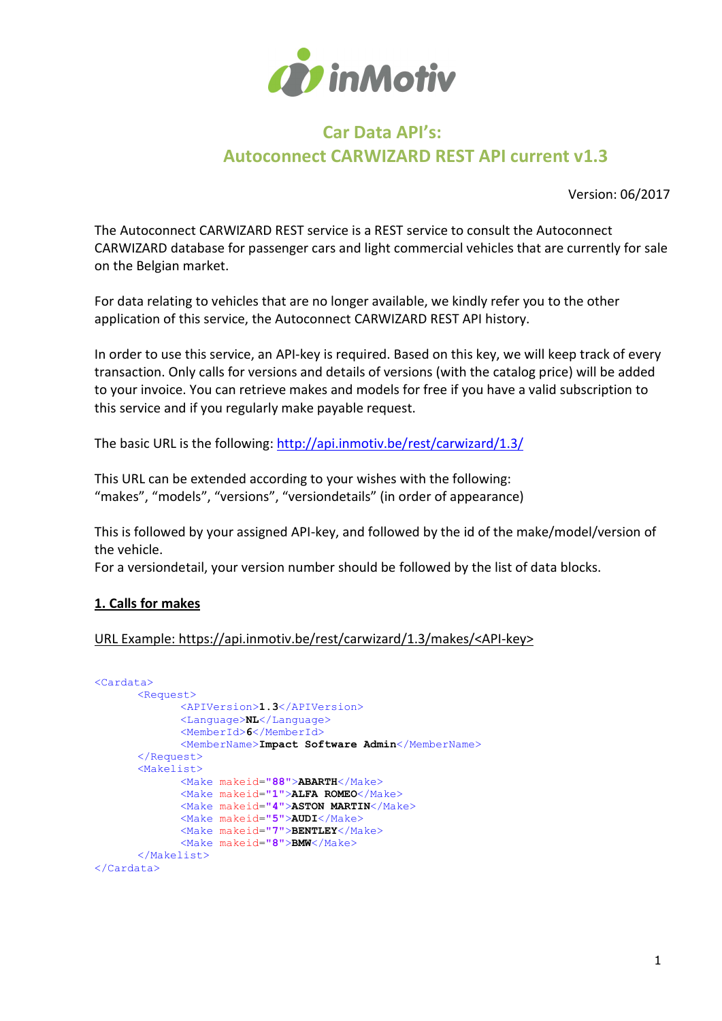

# Car Data API's: Autoconnect CARWIZARD REST API current v1.3

Version: 06/2017

The Autoconnect CARWIZARD REST service is a REST service to consult the Autoconnect CARWIZARD database for passenger cars and light commercial vehicles that are currently for sale on the Belgian market.

For data relating to vehicles that are no longer available, we kindly refer you to the other application of this service, the Autoconnect CARWIZARD REST API history.

In order to use this service, an API-key is required. Based on this key, we will keep track of every transaction. Only calls for versions and details of versions (with the catalog price) will be added to your invoice. You can retrieve makes and models for free if you have a valid subscription to this service and if you regularly make payable request.

The basic URL is the following: http://api.inmotiv.be/rest/carwizard/1.3/

This URL can be extended according to your wishes with the following: "makes", "models", "versions", "versiondetails" (in order of appearance)

This is followed by your assigned API-key, and followed by the id of the make/model/version of the vehicle.

For a versiondetail, your version number should be followed by the list of data blocks.

### 1. Calls for makes

#### URL Example: https://api.inmotiv.be/rest/carwizard/1.3/makes/<API-key>

```
<Cardata>
      <Request> 
              <APIVersion>1.3</APIVersion>
              <Language>NL</Language>
              <MemberId>6</MemberId>
             <MemberName>Impact Software Admin</MemberName>
       </Request>
       <Makelist>
             <Make makeid="88">ABARTH</Make>
              <Make makeid="1">ALFA ROMEO</Make>
              <Make makeid="4">ASTON MARTIN</Make>
              <Make makeid="5">AUDI</Make>
              <Make makeid="7">BENTLEY</Make>
              <Make makeid="8">BMW</Make>
      </Makelist>
</Cardata>
```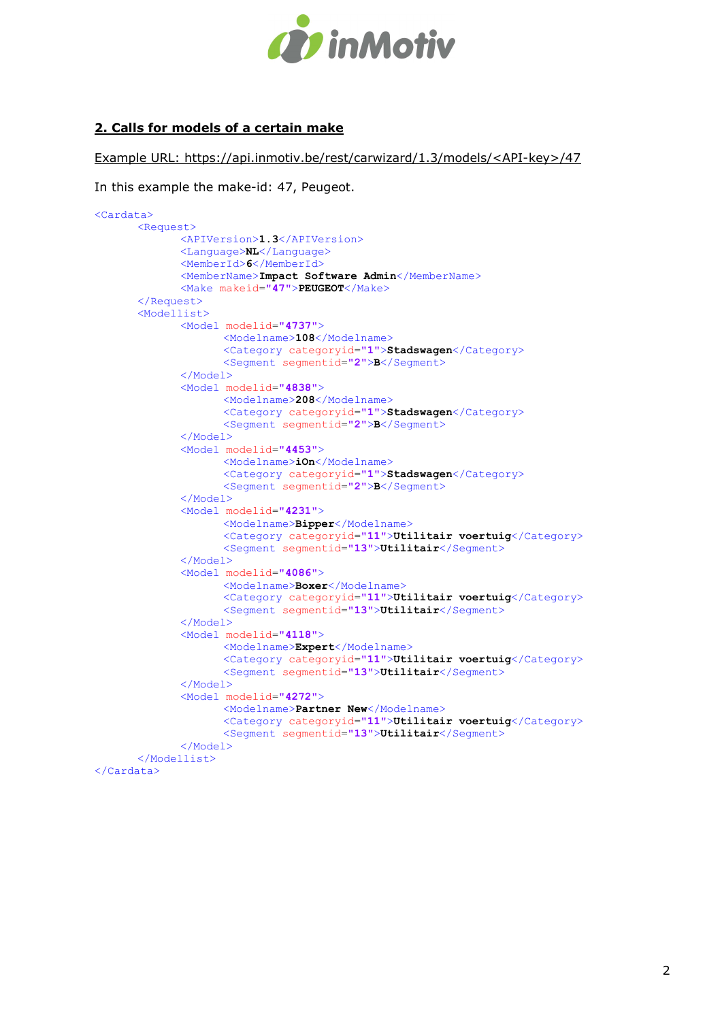

#### 2. Calls for models of a certain make

Example URL: https://api.inmotiv.be/rest/carwizard/1.3/models/<API-key>/47

In this example the make-id: 47, Peugeot.

```
<Cardata>
       <Request> 
             <APIVersion>1.3</APIVersion>
              <Language>NL</Language>
              <MemberId>6</MemberId>
             <MemberName>Impact Software Admin</MemberName>
              <Make makeid="47">PEUGEOT</Make>
       </Request>
       <Modellist>
              <Model modelid="4737">
                     <Modelname>108</Modelname>
                     <Category categoryid="1">Stadswagen</Category>
                     <Segment segmentid="2">B</Segment>
              </Model>
              <Model modelid="4838">
                     <Modelname>208</Modelname>
                     <Category categoryid="1">Stadswagen</Category>
                     <Segment segmentid="2">B</Segment>
              </Model>
              <Model modelid="4453">
                     <Modelname>iOn</Modelname>
                     <Category categoryid="1">Stadswagen</Category>
                     <Segment segmentid="2">B</Segment>
              </Model>
              <Model modelid="4231">
                     <Modelname>Bipper</Modelname>
                     <Category categoryid="11">Utilitair voertuig</Category>
                     <Segment segmentid="13">Utilitair</Segment>
              </Model>
              <Model modelid="4086">
                    <Modelname>Boxer</Modelname>
                     <Category categoryid="11">Utilitair voertuig</Category>
                    <Segment segmentid="13">Utilitair</Segment>
              </Model>
              <Model modelid="4118">
                    <Modelname>Expert</Modelname>
                     <Category categoryid="11">Utilitair voertuig</Category>
                    <Segment segmentid="13">Utilitair</Segment>
              </Model>
              <Model modelid="4272">
                     <Modelname>Partner New</Modelname>
                     <Category categoryid="11">Utilitair voertuig</Category>
                    <Segment segmentid="13">Utilitair</Segment>
              </Model>
       </Modellist>
</Cardata>
```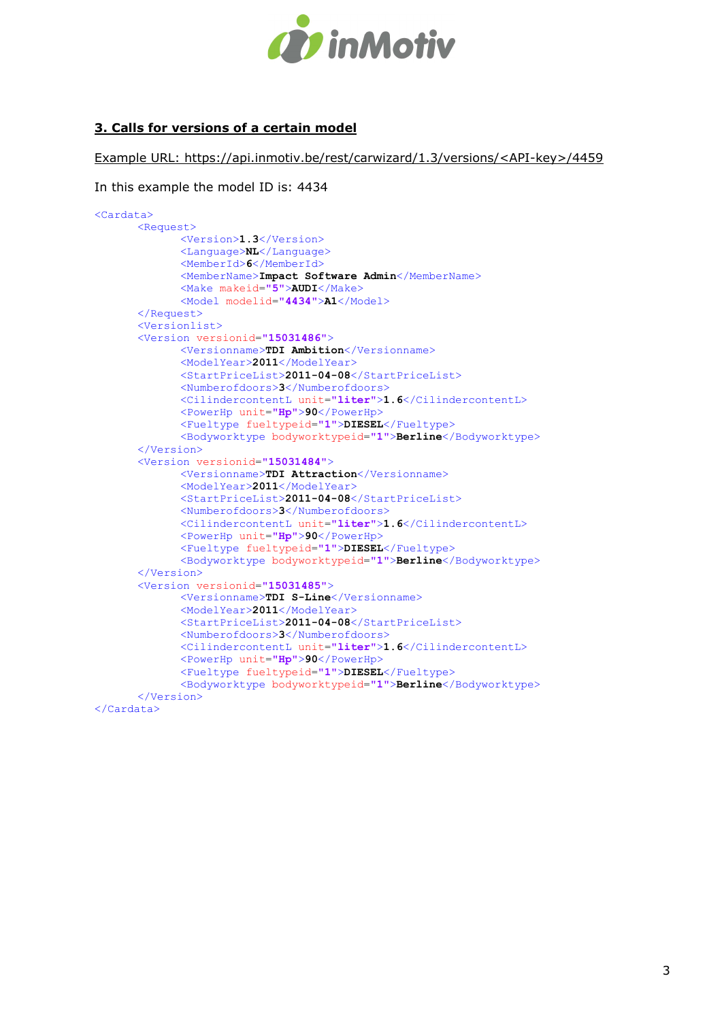

#### 3. Calls for versions of a certain model

Example URL: https://api.inmotiv.be/rest/carwizard/1.3/versions/<API-key>/4459

In this example the model ID is: 4434

```
<Cardata>
      <Request>
              <Version>1.3</Version>
              <Language>NL</Language>
              <MemberId>6</MemberId>
             <MemberName>Impact Software Admin</MemberName>
              <Make makeid="5">AUDI</Make>
              <Model modelid="4434">A1</Model>
      </Request>
      <Versionlist>
      <Version versionid="15031486">
              <Versionname>TDI Ambition</Versionname>
             <ModelYear>2011</ModelYear>
              <StartPriceList>2011-04-08</StartPriceList>
              <Numberofdoors>3</Numberofdoors>
              <CilindercontentL unit="liter">1.6</CilindercontentL>
              <PowerHp unit="Hp">90</PowerHp>
              <Fueltype fueltypeid="1">DIESEL</Fueltype>
              <Bodyworktype bodyworktypeid="1">Berline</Bodyworktype>
      </Version>
      <Version versionid="15031484">
              <Versionname>TDI Attraction</Versionname>
              <ModelYear>2011</ModelYear>
              <StartPriceList>2011-04-08</StartPriceList>
              <Numberofdoors>3</Numberofdoors>
              <CilindercontentL unit="liter">1.6</CilindercontentL>
              <PowerHp unit="Hp">90</PowerHp>
              <Fueltype fueltypeid="1">DIESEL</Fueltype>
              <Bodyworktype bodyworktypeid="1">Berline</Bodyworktype>
      </Version>
      <Version versionid="15031485">
              <Versionname>TDI S-Line</Versionname>
              <ModelYear>2011</ModelYear>
              <StartPriceList>2011-04-08</StartPriceList>
              <Numberofdoors>3</Numberofdoors>
              <CilindercontentL unit="liter">1.6</CilindercontentL>
              <PowerHp unit="Hp">90</PowerHp>
              <Fueltype fueltypeid="1">DIESEL</Fueltype>
              <Bodyworktype bodyworktypeid="1">Berline</Bodyworktype>
      </Version>
</Cardata>
```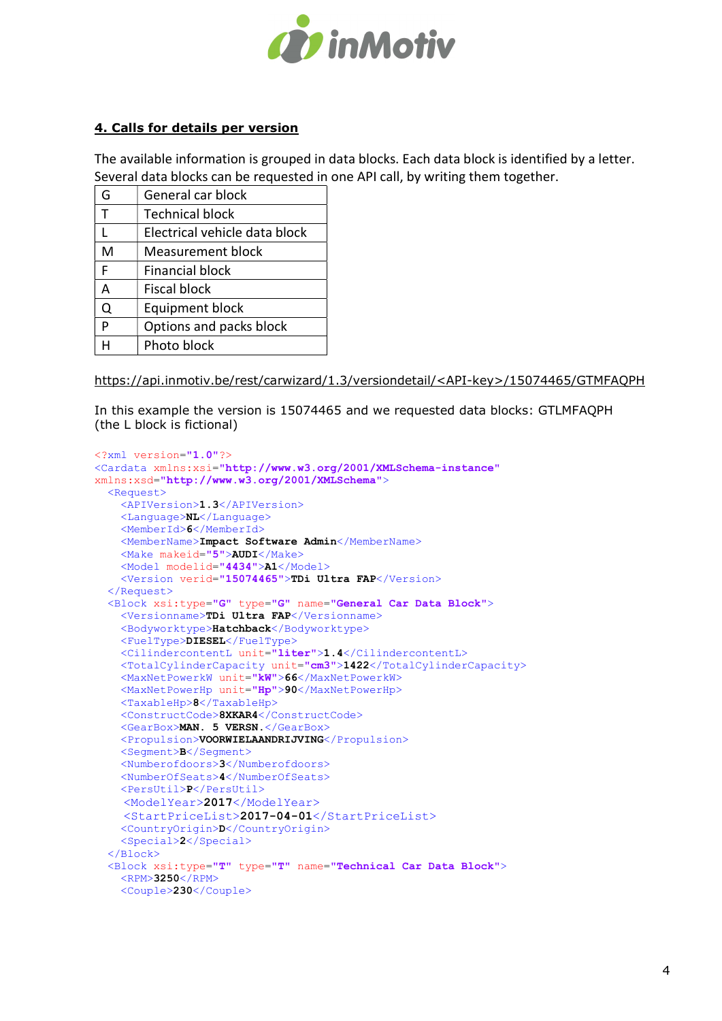

#### 4. Calls for details per version

The available information is grouped in data blocks. Each data block is identified by a letter. Several data blocks can be requested in one API call, by writing them together.

| G            | General car block             |
|--------------|-------------------------------|
| $\mathsf{T}$ | <b>Technical block</b>        |
| L            | Electrical vehicle data block |
| M            | <b>Measurement block</b>      |
| F            | Financial block               |
| A            | Fiscal block                  |
| Q            | <b>Equipment block</b>        |
| Þ            | Options and packs block       |
| н            | Photo block                   |

https://api.inmotiv.be/rest/carwizard/1.3/versiondetail/<API-key>/15074465/GTMFAQPH

In this example the version is 15074465 and we requested data blocks: GTLMFAQPH (the L block is fictional)

```
<?xml version="1.0"?>
<Cardata xmlns:xsi="http://www.w3.org/2001/XMLSchema-instance"
xmlns:xsd="http://www.w3.org/2001/XMLSchema">
   <Request>
     <APIVersion>1.3</APIVersion>
     <Language>NL</Language>
     <MemberId>6</MemberId>
    <MemberName>Impact Software Admin</MemberName>
     <Make makeid="5">AUDI</Make>
    <Model modelid="4434">A1</Model>
     <Version verid="15074465">TDi Ultra FAP</Version>
   </Request>
   <Block xsi:type="G" type="G" name="General Car Data Block">
     <Versionname>TDi Ultra FAP</Versionname>
    <Bodyworktype>Hatchback</Bodyworktype>
     <FuelType>DIESEL</FuelType>
     <CilindercontentL unit="liter">1.4</CilindercontentL>
     <TotalCylinderCapacity unit="cm3">1422</TotalCylinderCapacity>
     <MaxNetPowerkW unit="kW">66</MaxNetPowerkW>
     <MaxNetPowerHp unit="Hp">90</MaxNetPowerHp>
     <TaxableHp>8</TaxableHp>
     <ConstructCode>8XKAR4</ConstructCode>
     <GearBox>MAN. 5 VERSN.</GearBox>
     <Propulsion>VOORWIELAANDRIJVING</Propulsion>
     <Segment>B</Segment>
     <Numberofdoors>3</Numberofdoors>
     <NumberOfSeats>4</NumberOfSeats>
     <PersUtil>P</PersUtil>
     <ModelYear>2017</ModelYear>
     <StartPriceList>2017-04-01</StartPriceList> 
     <CountryOrigin>D</CountryOrigin>
     <Special>2</Special>
   </Block>
   <Block xsi:type="T" type="T" name="Technical Car Data Block">
     <RPM>3250</RPM>
     <Couple>230</Couple>
```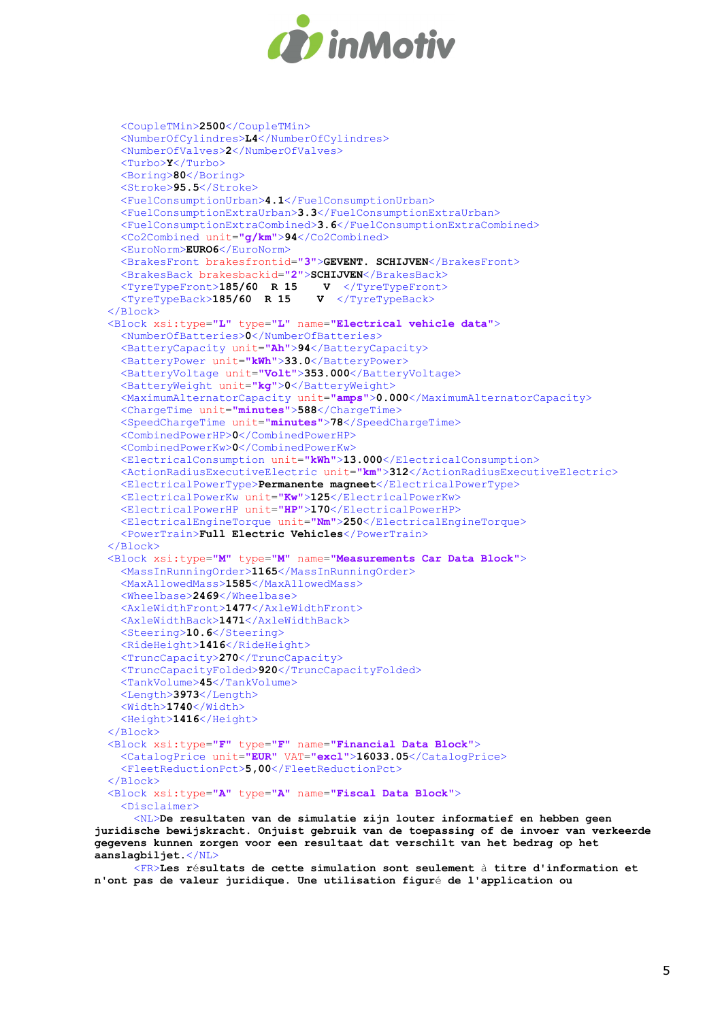

```
 <CoupleTMin>2500</CoupleTMin>
   <NumberOfCylindres>L4</NumberOfCylindres>
   <NumberOfValves>2</NumberOfValves>
   <Turbo>Y</Turbo>
   <Boring>80</Boring>
   <Stroke>95.5</Stroke>
   <FuelConsumptionUrban>4.1</FuelConsumptionUrban>
   <FuelConsumptionExtraUrban>3.3</FuelConsumptionExtraUrban>
   <FuelConsumptionExtraCombined>3.6</FuelConsumptionExtraCombined>
   <Co2Combined unit="g/km">94</Co2Combined>
   <EuroNorm>EURO6</EuroNorm>
   <BrakesFront brakesfrontid="3">GEVENT. SCHIJVEN</BrakesFront>
   <BrakesBack brakesbackid="2">SCHIJVEN</BrakesBack>
  \langleTyreTypeFront>185/60 R 15 V \langleTyreTypeFront><br>\langleTyreTypeBack>185/60 R 15 V \langle/TyreTypeBack>
  \langleTyreTypeBack>185/60 R 15
\langle/Block>
 <Block xsi:type="L" type="L" name="Electrical vehicle data">
   <NumberOfBatteries>0</NumberOfBatteries>
   <BatteryCapacity unit="Ah">94</BatteryCapacity>
   <BatteryPower unit="kWh">33.0</BatteryPower>
   <BatteryVoltage unit="Volt">353.000</BatteryVoltage>
   <BatteryWeight unit="kg">0</BatteryWeight>
   <MaximumAlternatorCapacity unit="amps">0.000</MaximumAlternatorCapacity>
   <ChargeTime unit="minutes">588</ChargeTime>
   <SpeedChargeTime unit="minutes">78</SpeedChargeTime>
   <CombinedPowerHP>0</CombinedPowerHP>
   <CombinedPowerKw>0</CombinedPowerKw>
   <ElectricalConsumption unit="kWh">13.000</ElectricalConsumption>
   <ActionRadiusExecutiveElectric unit="km">312</ActionRadiusExecutiveElectric>
   <ElectricalPowerType>Permanente magneet</ElectricalPowerType>
   <ElectricalPowerKw unit="Kw">125</ElectricalPowerKw>
   <ElectricalPowerHP unit="HP">170</ElectricalPowerHP>
   <ElectricalEngineTorque unit="Nm">250</ElectricalEngineTorque>
   <PowerTrain>Full Electric Vehicles</PowerTrain>
 </Block>
 <Block xsi:type="M" type="M" name="Measurements Car Data Block">
   <MassInRunningOrder>1165</MassInRunningOrder>
   <MaxAllowedMass>1585</MaxAllowedMass>
   <Wheelbase>2469</Wheelbase>
   <AxleWidthFront>1477</AxleWidthFront>
   <AxleWidthBack>1471</AxleWidthBack>
   <Steering>10.6</Steering>
   <RideHeight>1416</RideHeight>
   <TruncCapacity>270</TruncCapacity>
   <TruncCapacityFolded>920</TruncCapacityFolded>
   <TankVolume>45</TankVolume>
   <Length>3973</Length>
   <Width>1740</Width>
   <Height>1416</Height>
\langle/Block>
 <Block xsi:type="F" type="F" name="Financial Data Block">
   <CatalogPrice unit="EUR" VAT="excl">16033.05</CatalogPrice>
   <FleetReductionPct>5,00</FleetReductionPct>
\langle/Block>
 <Block xsi:type="A" type="A" name="Fiscal Data Block">
   <Disclaimer>
```
 <NL>De resultaten van de simulatie zijn louter informatief en hebben geen juridische bewijskracht. Onjuist gebruik van de toepassing of de invoer van verkeerde gegevens kunnen zorgen voor een resultaat dat verschilt van het bedrag op het aanslagbiljet.</NL>

 <FR>Les résultats de cette simulation sont seulement à titre d'information et n'ont pas de valeur juridique. Une utilisation figuré de l'application ou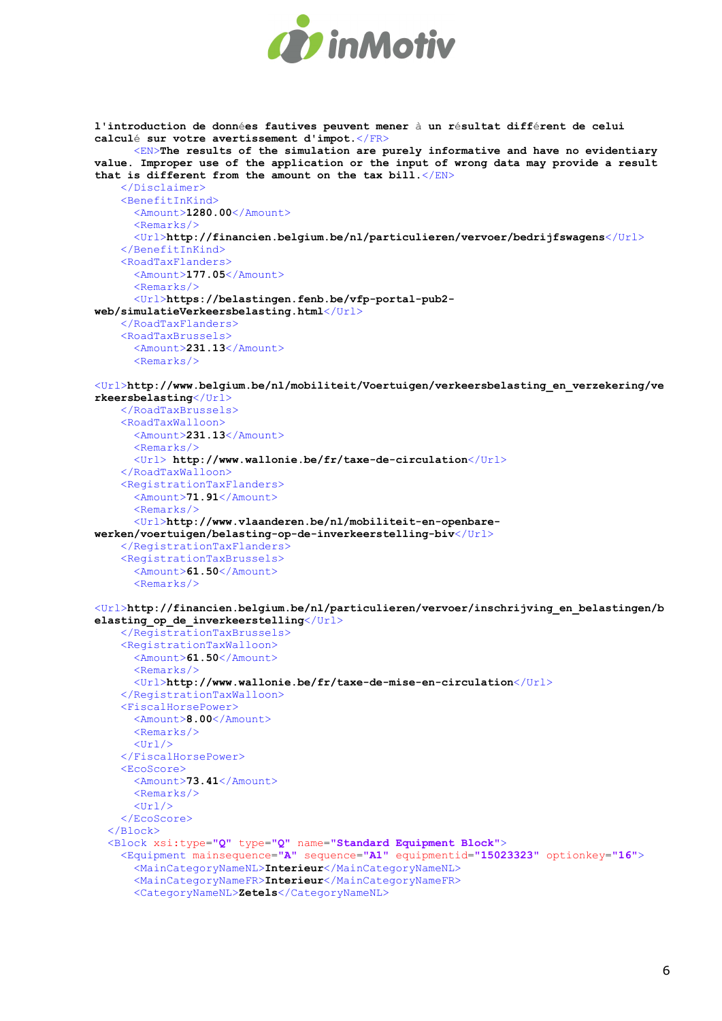

```
l'introduction de données fautives peuvent mener à un résultat différent de celui 
calculé sur votre avertissement d'impot.</FR>
       <EN>The results of the simulation are purely informative and have no evidentiary 
value. Improper use of the application or the input of wrong data may provide a result 
that is different from the amount on the tax bill.\langle/EN>
     </Disclaimer>
     <BenefitInKind>
      <Amount>1280.00</Amount>
      <Remarks/>
       <Url>http://financien.belgium.be/nl/particulieren/vervoer/bedrijfswagens</Url>
     </BenefitInKind>
     <RoadTaxFlanders>
       <Amount>177.05</Amount>
       <Remarks/>
       <Url>https://belastingen.fenb.be/vfp-portal-pub2-
web/simulatieVerkeersbelasting.html</Url>
     </RoadTaxFlanders>
     <RoadTaxBrussels>
       <Amount>231.13</Amount>
       <Remarks/>
<Url>http://www.belgium.be/nl/mobiliteit/Voertuigen/verkeersbelasting_en_verzekering/ve
rkeersbelasting</Url>
     </RoadTaxBrussels>
     <RoadTaxWalloon>
       <Amount>231.13</Amount>
       <Remarks/>
       <Url> http://www.wallonie.be/fr/taxe-de-circulation</Url>
     </RoadTaxWalloon>
     <RegistrationTaxFlanders>
       <Amount>71.91</Amount>
       <Remarks/>
       <Url>http://www.vlaanderen.be/nl/mobiliteit-en-openbare-
werken/voertuigen/belasting-op-de-inverkeerstelling-biv</Url>
     </RegistrationTaxFlanders>
     <RegistrationTaxBrussels>
       <Amount>61.50</Amount>
       <Remarks/>
<Url>http://financien.belgium.be/nl/particulieren/vervoer/inschrijving_en_belastingen/b
elasting op de inverkeerstelling</Url>
     </RegistrationTaxBrussels>
     <RegistrationTaxWalloon>
       <Amount>61.50</Amount>
      <Remarks/>
      \langle \texttt{Url}\ranglehttp://www.wallonie.be/fr/taxe-de-mise-en-circulation\langle \texttt{Url}\rangle </RegistrationTaxWalloon>
     <FiscalHorsePower>
       <Amount>8.00</Amount>
      <Remarks/>
      <Url/>
     </FiscalHorsePower>
     <EcoScore>
       <Amount>73.41</Amount>
      <Remarks/><Url/>
     </EcoScore>
   </Block>
   <Block xsi:type="Q" type="Q" name="Standard Equipment Block">
     <Equipment mainsequence="A" sequence="A1" equipmentid="15023323" optionkey="16">
       <MainCategoryNameNL>Interieur</MainCategoryNameNL>
       <MainCategoryNameFR>Interieur</MainCategoryNameFR>
       <CategoryNameNL>Zetels</CategoryNameNL>
```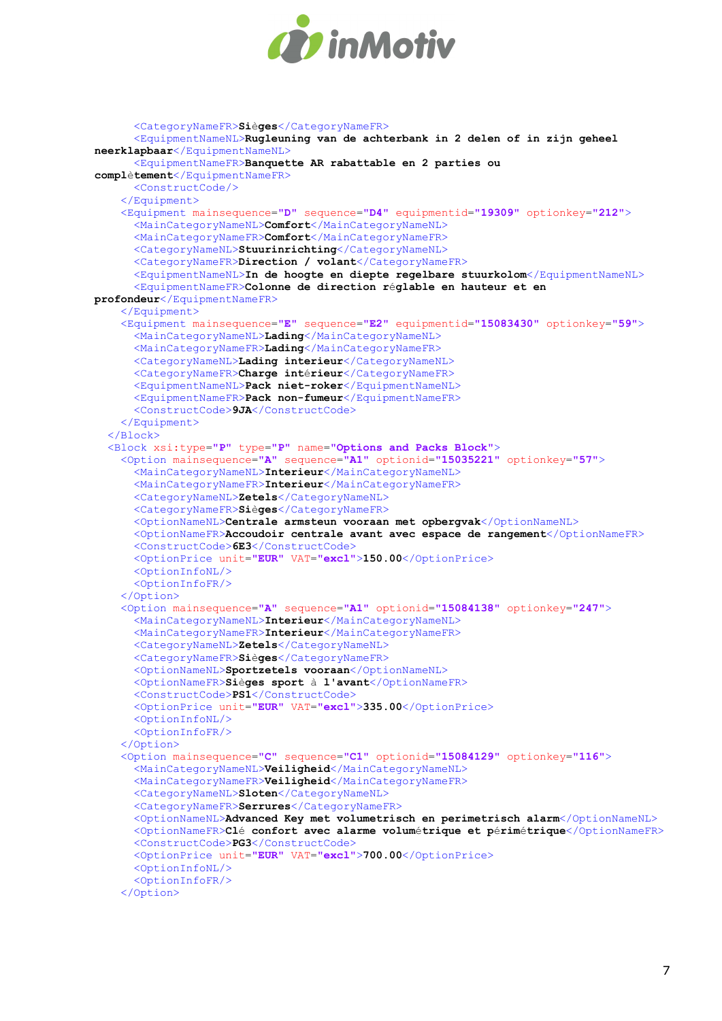

```
 <CategoryNameFR>Sièges</CategoryNameFR>
       <EquipmentNameNL>Rugleuning van de achterbank in 2 delen of in zijn geheel 
neerklapbaar</EquipmentNameNL>
       <EquipmentNameFR>Banquette AR rabattable en 2 parties ou 
complètement</EquipmentNameFR>
       <ConstructCode/>
     </Equipment>
     <Equipment mainsequence="D" sequence="D4" equipmentid="19309" optionkey="212">
       <MainCategoryNameNL>Comfort</MainCategoryNameNL>
       <MainCategoryNameFR>Comfort</MainCategoryNameFR>
       <CategoryNameNL>Stuurinrichting</CategoryNameNL>
       <CategoryNameFR>Direction / volant</CategoryNameFR>
       <EquipmentNameNL>In de hoogte en diepte regelbare stuurkolom</EquipmentNameNL>
       <EquipmentNameFR>Colonne de direction réglable en hauteur et en 
profondeur</EquipmentNameFR>
     </Equipment>
     <Equipment mainsequence="E" sequence="E2" equipmentid="15083430" optionkey="59">
       <MainCategoryNameNL>Lading</MainCategoryNameNL>
       <MainCategoryNameFR>Lading</MainCategoryNameFR>
       <CategoryNameNL>Lading interieur</CategoryNameNL>
       <CategoryNameFR>Charge intérieur</CategoryNameFR>
       <EquipmentNameNL>Pack niet-roker</EquipmentNameNL>
       <EquipmentNameFR>Pack non-fumeur</EquipmentNameFR>
       <ConstructCode>9JA</ConstructCode>
     </Equipment>
   </Block>
   <Block xsi:type="P" type="P" name="Options and Packs Block">
     <Option mainsequence="A" sequence="A1" optionid="15035221" optionkey="57">
       <MainCategoryNameNL>Interieur</MainCategoryNameNL>
      <MainCategoryNameFR>Interieur</MainCategoryNameFR>
       <CategoryNameNL>Zetels</CategoryNameNL>
       <CategoryNameFR>Sièges</CategoryNameFR>
       <OptionNameNL>Centrale armsteun vooraan met opbergvak</OptionNameNL>
       <OptionNameFR>Accoudoir centrale avant avec espace de rangement</OptionNameFR>
       <ConstructCode>6E3</ConstructCode>
       <OptionPrice unit="EUR" VAT="excl">150.00</OptionPrice>
       <OptionInfoNL/>
       <OptionInfoFR/>
     </Option>
     <Option mainsequence="A" sequence="A1" optionid="15084138" optionkey="247">
       <MainCategoryNameNL>Interieur</MainCategoryNameNL>
       <MainCategoryNameFR>Interieur</MainCategoryNameFR>
       <CategoryNameNL>Zetels</CategoryNameNL>
       <CategoryNameFR>Sièges</CategoryNameFR>
       <OptionNameNL>Sportzetels vooraan</OptionNameNL>
       <OptionNameFR>Sièges sport à l'avant</OptionNameFR>
       <ConstructCode>PS1</ConstructCode>
       <OptionPrice unit="EUR" VAT="excl">335.00</OptionPrice>
       <OptionInfoNL/>
       <OptionInfoFR/>
     </Option>
     <Option mainsequence="C" sequence="C1" optionid="15084129" optionkey="116">
       <MainCategoryNameNL>Veiligheid</MainCategoryNameNL>
       <MainCategoryNameFR>Veiligheid</MainCategoryNameFR>
       <CategoryNameNL>Sloten</CategoryNameNL>
       <CategoryNameFR>Serrures</CategoryNameFR>
       <OptionNameNL>Advanced Key met volumetrisch en perimetrisch alarm</OptionNameNL>
       <OptionNameFR>Clé confort avec alarme volumétrique et périmétrique</OptionNameFR>
       <ConstructCode>PG3</ConstructCode>
       <OptionPrice unit="EUR" VAT="excl">700.00</OptionPrice>
       <OptionInfoNL/>
       <OptionInfoFR/>
     </Option>
```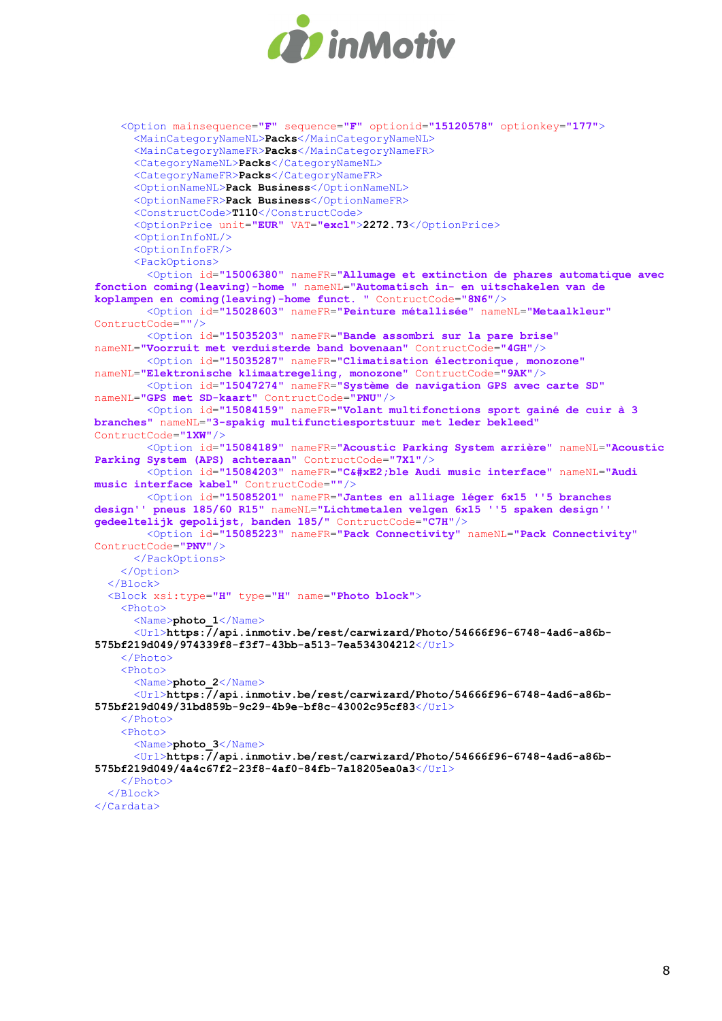

```
 <Option mainsequence="F" sequence="F" optionid="15120578" optionkey="177">
       <MainCategoryNameNL>Packs</MainCategoryNameNL>
       <MainCategoryNameFR>Packs</MainCategoryNameFR>
       <CategoryNameNL>Packs</CategoryNameNL>
       <CategoryNameFR>Packs</CategoryNameFR>
       <OptionNameNL>Pack Business</OptionNameNL>
       <OptionNameFR>Pack Business</OptionNameFR>
       <ConstructCode>T110</ConstructCode>
       <OptionPrice unit="EUR" VAT="excl">2272.73</OptionPrice>
       <OptionInfoNL/>
       <OptionInfoFR/>
       <PackOptions>
         <Option id="15006380" nameFR="Allumage et extinction de phares automatique avec 
fonction coming(leaving)-home " nameNL="Automatisch in- en uitschakelen van de 
koplampen en coming(leaving)-home funct. " ContructCode="8N6"/>
         <Option id="15028603" nameFR="Peinture métallisée" nameNL="Metaalkleur"
ContructCode=""/>
         <Option id="15035203" nameFR="Bande assombri sur la pare brise"
nameNL="Voorruit met verduisterde band bovenaan" ContructCode="4GH"/>
         <Option id="15035287" nameFR="Climatisation électronique, monozone"
nameNL="Elektronische klimaatregeling, monozone" ContructCode="9AK"/>
         <Option id="15047274" nameFR="Système de navigation GPS avec carte SD"
nameNL="GPS met SD-kaart" ContructCode="PNU"/>
         <Option id="15084159" nameFR="Volant multifonctions sport gainé de cuir à 3 
branches" nameNL="3-spakig multifunctiesportstuur met leder bekleed"
ContructCode="1XW"/>
         <Option id="15084189" nameFR="Acoustic Parking System arrière" nameNL="Acoustic 
Parking System (APS) achteraan" ContructCode="7X1"/>
        <Option id="15084203" nameFR="C&#xE2;ble Audi music interface" nameNL="Audi
music interface kabel" ContructCode=""/>
         <Option id="15085201" nameFR="Jantes en alliage léger 6x15 ''5 branches 
design'' pneus 185/60 R15" nameNL="Lichtmetalen velgen 6x15 ''5 spaken design'' 
gedeeltelijk gepolijst, banden 185/" ContructCode="C7H"/>
         <Option id="15085223" nameFR="Pack Connectivity" nameNL="Pack Connectivity"
ContructCode="PNV"/>
       </PackOptions>
     </Option>
   </Block>
   <Block xsi:type="H" type="H" name="Photo block">
     <Photo>
      <Name>photo 1</Name>
       <Url>https://api.inmotiv.be/rest/carwizard/Photo/54666f96-6748-4ad6-a86b-
575bf219d049/974339f8-f3f7-43bb-a513-7ea534304212</Url>
     </Photo>
     <Photo>
       <Name>photo_2</Name>
       <Url>https://api.inmotiv.be/rest/carwizard/Photo/54666f96-6748-4ad6-a86b-
575bf219d049/31bd859b-9c29-4b9e-bf8c-43002c95cf83</Url>
     </Photo>
     <Photo>
       <Name>photo_3</Name>
       <Url>https://api.inmotiv.be/rest/carwizard/Photo/54666f96-6748-4ad6-a86b-
575bf219d049/4a4c67f2-23f8-4af0-84fb-7a18205ea0a3</Url>
    \langle/Photo>
   </Block>
</Cardata>
```